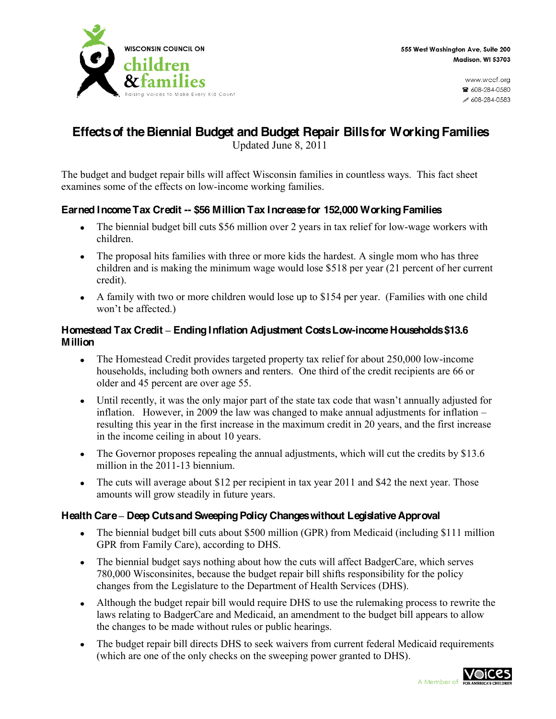

www.wccf.ora ☎ 608-284-0580  $608 - 284 - 0583$ 

# **Effects of the Biennial Budget and Budget Repair Bills for Working Families**

Updated June 8, 2011

The budget and budget repair bills will affect Wisconsin families in countless ways. This fact sheet examines some of the effects on low-income working families.

# **Earned Income Tax Credit -- \$56 Million Tax Increase for 152,000 Working Families**

- The biennial budget bill cuts \$56 million over 2 years in tax relief for low-wage workers with  $\bullet$ children.
- The proposal hits families with three or more kids the hardest. A single mom who has three children and is making the minimum wage would lose \$518 per year (21 percent of her current credit).
- A family with two or more children would lose up to \$154 per year. (Families with one child won't be affected.)

#### **Homestead Tax Credit ± EndingInflation Adjustment Costs Low-income Households \$13.6 Million**

- The Homestead Credit provides targeted property tax relief for about 250,000 low-income  $\bullet$ households, including both owners and renters. One third of the credit recipients are 66 or older and 45 percent are over age 55.
- Until recently, it was the only major part of the state tax code that wasn't annually adjusted for  $\bullet$ inflation. However, in 2009 the law was changed to make annual adjustments for inflation  $$ resulting this year in the first increase in the maximum credit in 20 years, and the first increase in the income ceiling in about 10 years.
- The Governor proposes repealing the annual adjustments, which will cut the credits by \$13.6  $\bullet$ million in the 2011-13 biennium.
- The cuts will average about \$12 per recipient in tax year 2011 and \$42 the next year. Those  $\bullet$ amounts will grow steadily in future years.

# **Health Care ± Deep Cuts and Sweeping Policy Changes without Legislative Approval**

- The biennial budget bill cuts about \$500 million (GPR) from Medicaid (including \$111 million  $\bullet$ GPR from Family Care), according to DHS.
- The biennial budget says nothing about how the cuts will affect BadgerCare, which serves  $\bullet$ 780,000 Wisconsinites, because the budget repair bill shifts responsibility for the policy changes from the Legislature to the Department of Health Services (DHS).
- Although the budget repair bill would require DHS to use the rulemaking process to rewrite the  $\bullet$ laws relating to BadgerCare and Medicaid, an amendment to the budget bill appears to allow the changes to be made without rules or public hearings.
- The budget repair bill directs DHS to seek waivers from current federal Medicaid requirements  $\bullet$ (which are one of the only checks on the sweeping power granted to DHS).